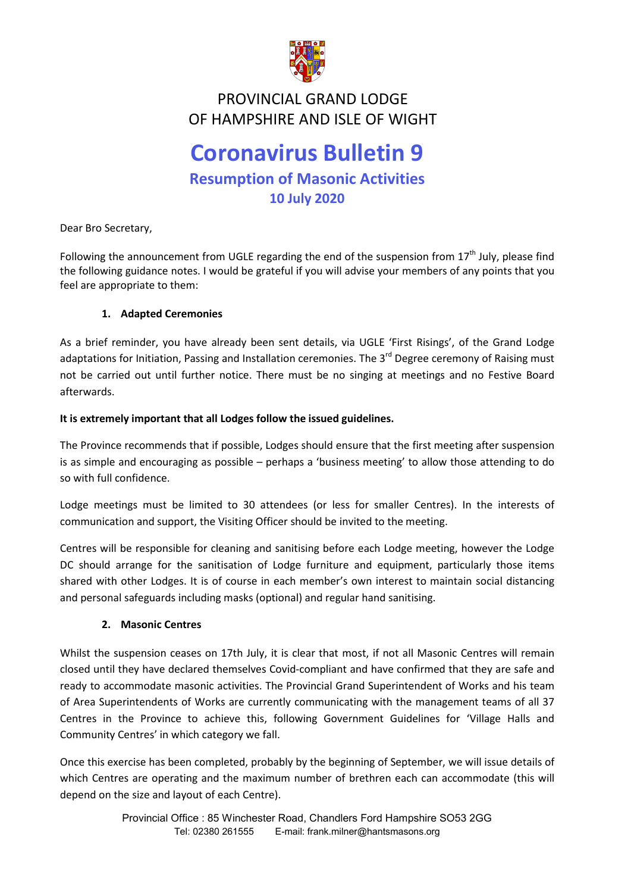

# **February 2019 Newsletter** OF HAMPSHIRE AND ISLE OF WIGHTPROVINCIAL GRAND LODGE

# **Coronavirus Bulletin 9 Resumption of Masonic Activities 10 July 2020**

Dear Bro Secretary,

Following the announcement from UGLE regarding the end of the suspension from  $17<sup>th</sup>$  July, please find the following guidance notes. I would be grateful if you will advise your members of any points that you feel are appropriate to them:

## **1. Adapted Ceremonies**

As a brief reminder, you have already been sent details, via UGLE 'First Risings', of the Grand Lodge adaptations for Initiation, Passing and Installation ceremonies. The 3<sup>rd</sup> Degree ceremony of Raising must not be carried out until further notice. There must be no singing at meetings and no Festive Board afterwards.

#### **It is extremely important that all Lodges follow the issued guidelines.**

The Province recommends that if possible, Lodges should ensure that the first meeting after suspension is as simple and encouraging as possible – perhaps a 'business meeting' to allow those attending to do so with full confidence.

Lodge meetings must be limited to 30 attendees (or less for smaller Centres). In the interests of communication and support, the Visiting Officer should be invited to the meeting.

Centres will be responsible for cleaning and sanitising before each Lodge meeting, however the Lodge DC should arrange for the sanitisation of Lodge furniture and equipment, particularly those items shared with other Lodges. It is of course in each member's own interest to maintain social distancing and personal safeguards including masks (optional) and regular hand sanitising.

## **2. Masonic Centres**

Whilst the suspension ceases on 17th July, it is clear that most, if not all Masonic Centres will remain closed until they have declared themselves Covid-compliant and have confirmed that they are safe and ready to accommodate masonic activities. The Provincial Grand Superintendent of Works and his team of Area Superintendents of Works are currently communicating with the management teams of all 37 Centres in the Province to achieve this, following Government Guidelines for 'Village Halls and Community Centres' in which category we fall.

Once this exercise has been completed, probably by the beginning of September, we will issue details of which Centres are operating and the maximum number of brethren each can accommodate (this will depend on the size and layout of each Centre).

> Provincial Office : 85 Winchester Road, Chandlers Ford Hampshire SO53 2GG Tel: 02380 261555 E-mail: frank.milner@hantsmasons.org